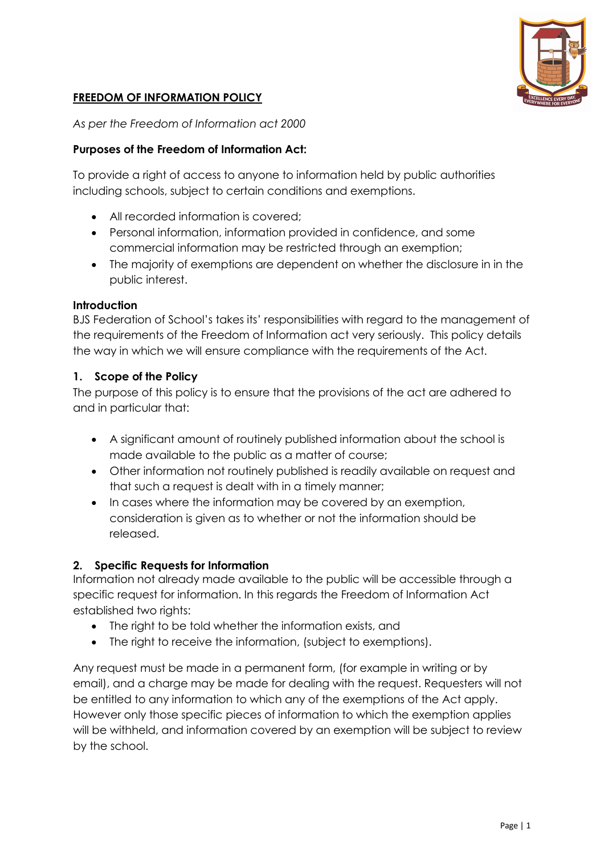

## **FREEDOM OF INFORMATION POLICY**

*As per the Freedom of Information act 2000*

### **Purposes of the Freedom of Information Act:**

To provide a right of access to anyone to information held by public authorities including schools, subject to certain conditions and exemptions.

- All recorded information is covered;
- Personal information, information provided in confidence, and some commercial information may be restricted through an exemption;
- The majority of exemptions are dependent on whether the disclosure in in the public interest.

#### **Introduction**

BJS Federation of School's takes its' responsibilities with regard to the management of the requirements of the Freedom of Information act very seriously. This policy details the way in which we will ensure compliance with the requirements of the Act.

### **1. Scope of the Policy**

The purpose of this policy is to ensure that the provisions of the act are adhered to and in particular that:

- A significant amount of routinely published information about the school is made available to the public as a matter of course;
- Other information not routinely published is readily available on request and that such a request is dealt with in a timely manner;
- In cases where the information may be covered by an exemption, consideration is given as to whether or not the information should be released.

### **2. Specific Requests for Information**

Information not already made available to the public will be accessible through a specific request for information. In this regards the Freedom of Information Act established two rights:

- The right to be told whether the information exists, and
- The right to receive the information, (subject to exemptions).

Any request must be made in a permanent form, (for example in writing or by email), and a charge may be made for dealing with the request. Requesters will not be entitled to any information to which any of the exemptions of the Act apply. However only those specific pieces of information to which the exemption applies will be withheld, and information covered by an exemption will be subject to review by the school.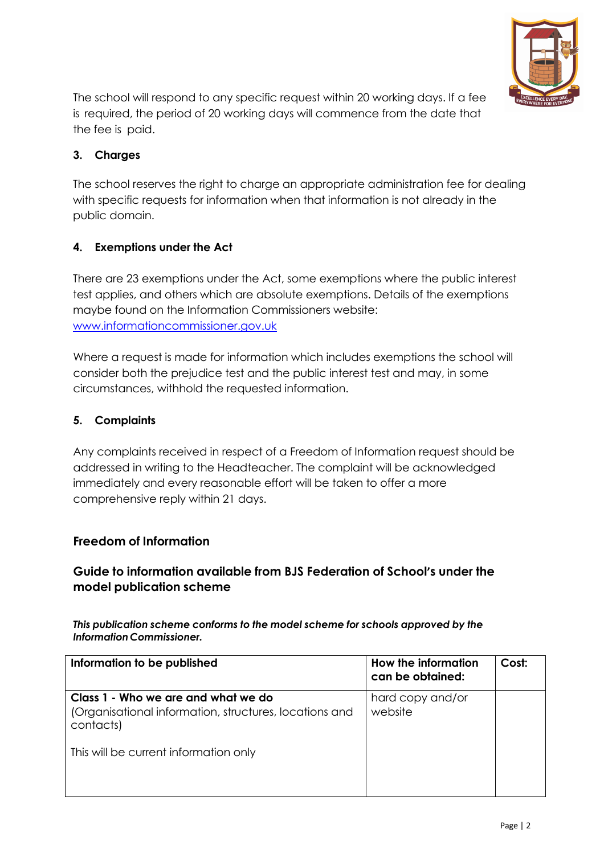

The school will respond to any specific request within 20 working days. If a fee is required, the period of 20 working days will commence from the date that the fee is paid.

# **3. Charges**

The school reserves the right to charge an appropriate administration fee for dealing with specific requests for information when that information is not already in the public domain.

# **4. Exemptions under the Act**

There are 23 exemptions under the Act, some exemptions where the public interest test applies, and others which are absolute exemptions. Details of the exemptions maybe found on the Information Commissioners website: www.informationcommissioner.gov.uk

Where a request is made for information which includes exemptions the school will consider both the prejudice test and the public interest test and may, in some circumstances, withhold the requested information.

# **5. Complaints**

Any complaints received in respect of a Freedom of Information request should be addressed in writing to the Headteacher. The complaint will be acknowledged immediately and every reasonable effort will be taken to offer a more comprehensive reply within 21 days.

## **Freedom of Information**

# **Guide to information available from BJS Federation of School's under the model publication scheme**

#### *This publication scheme conforms to the model scheme for schools approved by the InformationCommissioner.*

| Information to be published                                                                                | How the information<br>can be obtained: | Cost: |
|------------------------------------------------------------------------------------------------------------|-----------------------------------------|-------|
| Class 1 - Who we are and what we do<br>(Organisational information, structures, locations and<br>contacts) | hard copy and/or<br>website             |       |
| This will be current information only                                                                      |                                         |       |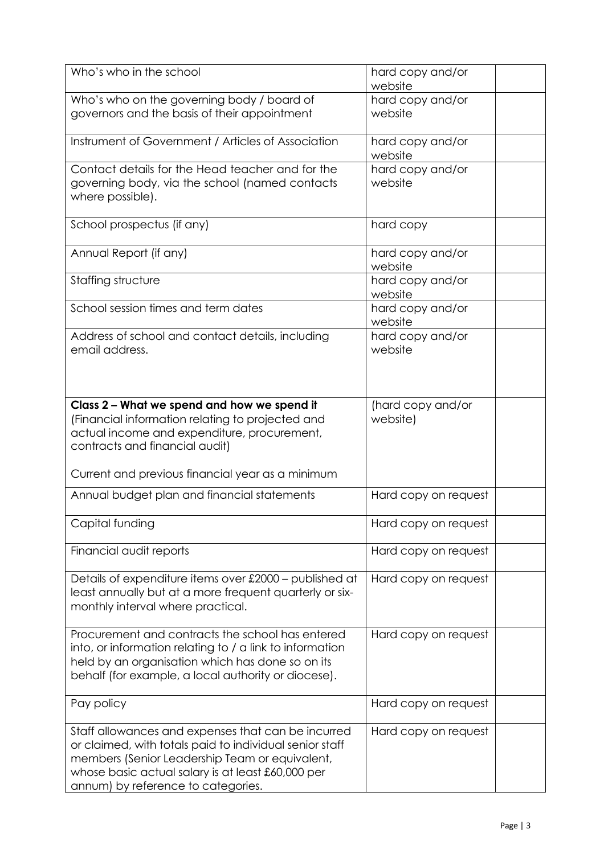| Who's who in the school                                                                                                                                                                                                                                    | hard copy and/or<br>website   |
|------------------------------------------------------------------------------------------------------------------------------------------------------------------------------------------------------------------------------------------------------------|-------------------------------|
| Who's who on the governing body / board of<br>governors and the basis of their appointment                                                                                                                                                                 | hard copy and/or<br>website   |
| Instrument of Government / Articles of Association                                                                                                                                                                                                         | hard copy and/or<br>website   |
| Contact details for the Head teacher and for the<br>governing body, via the school (named contacts<br>where possible).                                                                                                                                     | hard copy and/or<br>website   |
| School prospectus (if any)                                                                                                                                                                                                                                 | hard copy                     |
| Annual Report (if any)                                                                                                                                                                                                                                     | hard copy and/or<br>website   |
| Staffing structure                                                                                                                                                                                                                                         | hard copy and/or<br>website   |
| School session times and term dates                                                                                                                                                                                                                        | hard copy and/or<br>website   |
| Address of school and contact details, including<br>email address.                                                                                                                                                                                         | hard copy and/or<br>website   |
| Class 2 - What we spend and how we spend it<br>(Financial information relating to projected and<br>actual income and expenditure, procurement,<br>contracts and financial audit)<br>Current and previous financial year as a minimum                       | (hard copy and/or<br>website) |
| Annual budget plan and financial statements                                                                                                                                                                                                                | Hard copy on request          |
| Capital funding                                                                                                                                                                                                                                            | Hard copy on request          |
| Financial audit reports                                                                                                                                                                                                                                    | Hard copy on request          |
| Details of expenditure items over £2000 - published at<br>least annually but at a more frequent quarterly or six-<br>monthly interval where practical.                                                                                                     | Hard copy on request          |
| Procurement and contracts the school has entered<br>into, or information relating to / a link to information<br>held by an organisation which has done so on its<br>behalf (for example, a local authority or diocese).                                    | Hard copy on request          |
| Pay policy                                                                                                                                                                                                                                                 | Hard copy on request          |
| Staff allowances and expenses that can be incurred<br>or claimed, with totals paid to individual senior staff<br>members (Senior Leadership Team or equivalent,<br>whose basic actual salary is at least £60,000 per<br>annum) by reference to categories. | Hard copy on request          |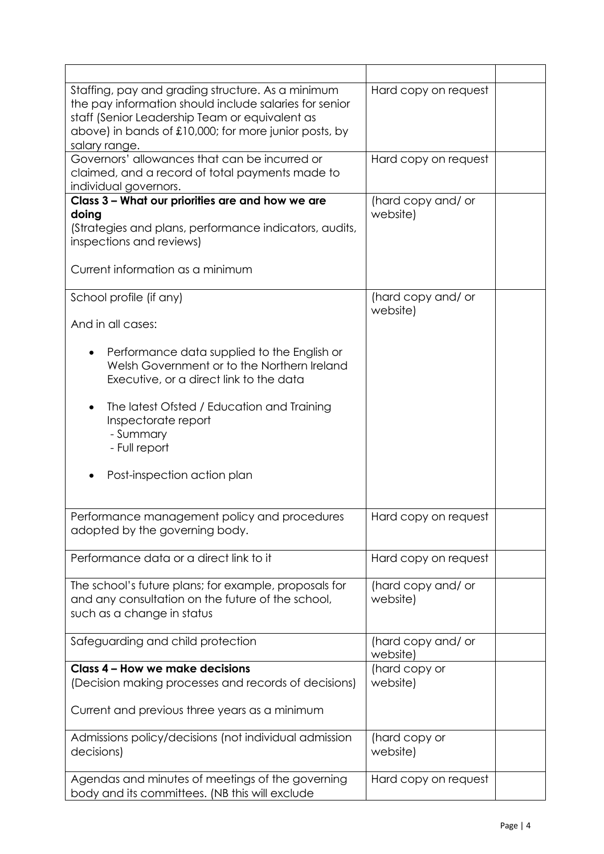| Staffing, pay and grading structure. As a minimum<br>the pay information should include salaries for senior<br>staff (Senior Leadership Team or equivalent as<br>above) in bands of £10,000; for more junior posts, by<br>salary range. | Hard copy on request           |  |
|-----------------------------------------------------------------------------------------------------------------------------------------------------------------------------------------------------------------------------------------|--------------------------------|--|
| Governors' allowances that can be incurred or<br>claimed, and a record of total payments made to<br>individual governors.                                                                                                               | Hard copy on request           |  |
| Class 3 - What our priorities are and how we are<br>doing<br>(Strategies and plans, performance indicators, audits,<br>inspections and reviews)<br>Current information as a minimum                                                     | (hard copy and/ or<br>website) |  |
| School profile (if any)                                                                                                                                                                                                                 | (hard copy and/ or             |  |
| And in all cases:                                                                                                                                                                                                                       | website)                       |  |
| Performance data supplied to the English or<br>Welsh Government or to the Northern Ireland<br>Executive, or a direct link to the data                                                                                                   |                                |  |
| The latest Ofsted / Education and Training<br>Inspectorate report<br>- Summary<br>- Full report                                                                                                                                         |                                |  |
| Post-inspection action plan                                                                                                                                                                                                             |                                |  |
| Performance management policy and procedures<br>adopted by the governing body.                                                                                                                                                          | Hard copy on request           |  |
| Performance data or a direct link to it                                                                                                                                                                                                 | Hard copy on request           |  |
| The school's future plans; for example, proposals for<br>and any consultation on the future of the school,<br>such as a change in status                                                                                                | (hard copy and/ or<br>website) |  |
| Safeguarding and child protection                                                                                                                                                                                                       | (hard copy and/ or<br>website) |  |
| Class 4 - How we make decisions<br>(Decision making processes and records of decisions)                                                                                                                                                 | (hard copy or<br>website)      |  |
| Current and previous three years as a minimum                                                                                                                                                                                           |                                |  |
| Admissions policy/decisions (not individual admission<br>decisions)                                                                                                                                                                     | (hard copy or<br>website)      |  |
| Agendas and minutes of meetings of the governing<br>body and its committees. (NB this will exclude                                                                                                                                      | Hard copy on request           |  |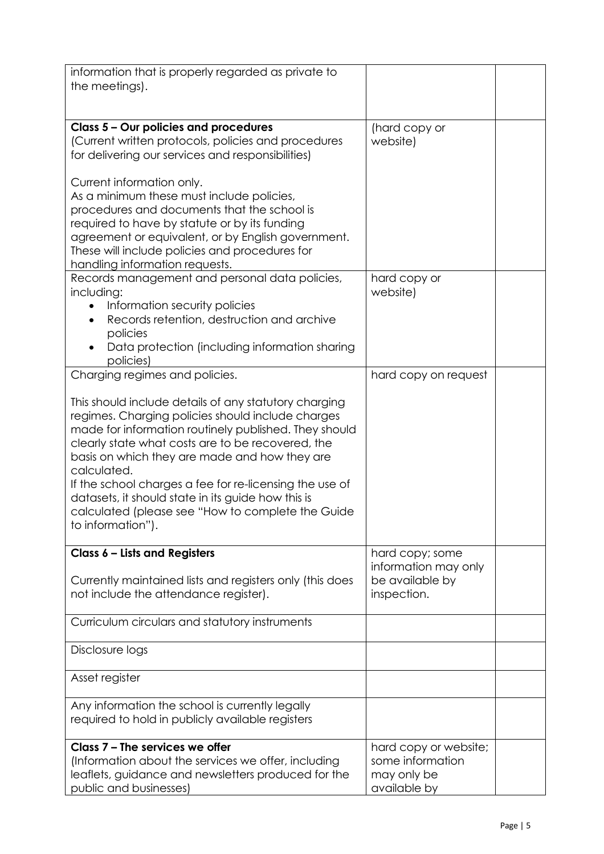| information that is properly regarded as private to                                                        |                                 |  |
|------------------------------------------------------------------------------------------------------------|---------------------------------|--|
| the meetings).                                                                                             |                                 |  |
|                                                                                                            |                                 |  |
| Class 5 - Our policies and procedures                                                                      | (hard copy or                   |  |
| (Current written protocols, policies and procedures                                                        | website)                        |  |
| for delivering our services and responsibilities)                                                          |                                 |  |
| Current information only.                                                                                  |                                 |  |
| As a minimum these must include policies,                                                                  |                                 |  |
| procedures and documents that the school is                                                                |                                 |  |
| required to have by statute or by its funding                                                              |                                 |  |
| agreement or equivalent, or by English government.                                                         |                                 |  |
| These will include policies and procedures for                                                             |                                 |  |
| handling information requests.<br>Records management and personal data policies,                           | hard copy or                    |  |
| including:                                                                                                 | website)                        |  |
| Information security policies                                                                              |                                 |  |
| Records retention, destruction and archive                                                                 |                                 |  |
| policies                                                                                                   |                                 |  |
| Data protection (including information sharing                                                             |                                 |  |
| policies)<br>Charging regimes and policies.                                                                | hard copy on request            |  |
|                                                                                                            |                                 |  |
| This should include details of any statutory charging                                                      |                                 |  |
| regimes. Charging policies should include charges                                                          |                                 |  |
| made for information routinely published. They should                                                      |                                 |  |
| clearly state what costs are to be recovered, the                                                          |                                 |  |
| basis on which they are made and how they are<br>calculated.                                               |                                 |  |
| If the school charges a fee for re-licensing the use of                                                    |                                 |  |
| datasets, it should state in its guide how this is                                                         |                                 |  |
| calculated (please see "How to complete the Guide                                                          |                                 |  |
| to information").                                                                                          |                                 |  |
| Class 6 - Lists and Registers                                                                              | hard copy; some                 |  |
|                                                                                                            | information may only            |  |
| Currently maintained lists and registers only (this does                                                   | be available by                 |  |
| not include the attendance register).                                                                      | inspection.                     |  |
|                                                                                                            |                                 |  |
| Curriculum circulars and statutory instruments                                                             |                                 |  |
| Disclosure logs                                                                                            |                                 |  |
|                                                                                                            |                                 |  |
| Asset register                                                                                             |                                 |  |
| Any information the school is currently legally                                                            |                                 |  |
| required to hold in publicly available registers                                                           |                                 |  |
|                                                                                                            |                                 |  |
| Class 7 - The services we offer                                                                            | hard copy or website;           |  |
| (Information about the services we offer, including<br>leaflets, guidance and newsletters produced for the | some information<br>may only be |  |
| public and businesses)                                                                                     | available by                    |  |